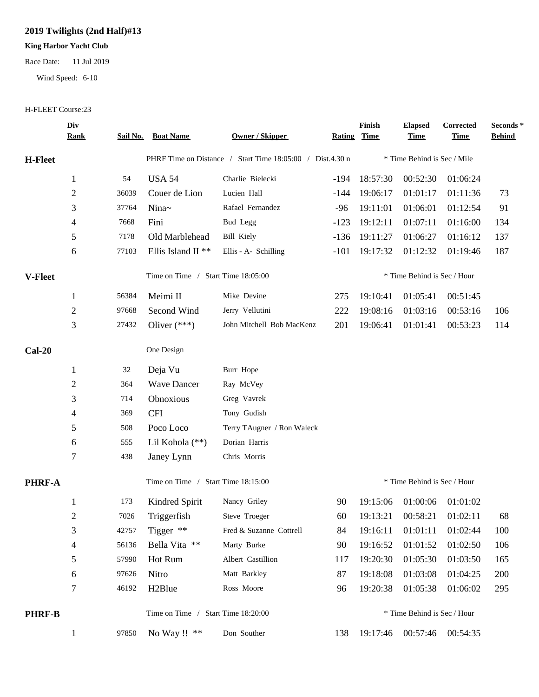## **2019 Twilights (2nd Half)#13**

## **King Harbor Yacht Club**

Race Date: 11 Jul 2019

Wind Speed: 6-10

## H-FLEET Course:23

|                | Div<br><u>Rank</u> | <u>Sail No.</u>                    | <b>Boat Name</b>              | <b>Owner / Skipper</b>                                    | <b>Rating</b> | Finish<br><b>Time</b>       | <b>Elapsed</b><br><b>Time</b> | Corrected<br><b>Time</b> | Seconds*<br><b>Behind</b> |
|----------------|--------------------|------------------------------------|-------------------------------|-----------------------------------------------------------|---------------|-----------------------------|-------------------------------|--------------------------|---------------------------|
| <b>H-Fleet</b> |                    |                                    |                               | PHRF Time on Distance / Start Time 18:05:00 / Dist.4.30 n |               |                             | * Time Behind is Sec / Mile   |                          |                           |
|                | $\mathbf{1}$       | 54                                 | <b>USA 54</b>                 | Charlie Bielecki                                          | $-194$        | 18:57:30                    | 00:52:30                      | 01:06:24                 |                           |
|                | $\overline{c}$     | 36039                              | Couer de Lion                 | Lucien Hall                                               | -144          | 19:06:17                    | 01:01:17                      | 01:11:36                 | 73                        |
|                | 3                  | 37764                              | Nina~                         | Rafael Fernandez                                          | $-96$         | 19:11:01                    | 01:06:01                      | 01:12:54                 | 91                        |
|                | 4                  | 7668                               | Fini                          | Bud Legg                                                  | $-123$        | 19:12:11                    | 01:07:11                      | 01:16:00                 | 134                       |
|                | 5                  | 7178                               | Old Marblehead                | <b>Bill Kiely</b>                                         | $-136$        | 19:11:27                    | 01:06:27                      | 01:16:12                 | 137                       |
|                | 6                  | 77103                              | Ellis Island II <sup>**</sup> | Ellis - A- Schilling                                      | $-101$        | 19:17:32                    | 01:12:32                      | 01:19:46                 | 187                       |
| V-Fleet        |                    | Time on Time / Start Time 18:05:00 |                               |                                                           |               | * Time Behind is Sec / Hour |                               |                          |                           |
|                | $\mathbf{1}$       | 56384                              | Meimi II                      | Mike Devine                                               | 275           | 19:10:41                    | 01:05:41                      | 00:51:45                 |                           |
|                | $\overline{c}$     | 97668                              | Second Wind                   | Jerry Vellutini                                           | 222           | 19:08:16                    | 01:03:16                      | 00:53:16                 | 106                       |
|                | 3                  | 27432                              | Oliver $(***)$                | John Mitchell Bob MacKenz                                 | 201           | 19:06:41                    | 01:01:41                      | 00:53:23                 | 114                       |
| $Cal-20$       |                    |                                    | One Design                    |                                                           |               |                             |                               |                          |                           |
|                | $\mathbf{1}$       | 32                                 | Deja Vu                       | Burr Hope                                                 |               |                             |                               |                          |                           |
|                | $\overline{c}$     | 364                                | <b>Wave Dancer</b>            | Ray McVey                                                 |               |                             |                               |                          |                           |
|                | 3                  | 714                                | Obnoxious                     | Greg Vavrek                                               |               |                             |                               |                          |                           |
|                | 4                  | 369                                | <b>CFI</b>                    | Tony Gudish                                               |               |                             |                               |                          |                           |
|                | 5                  | 508                                | Poco Loco                     | Terry TAugner / Ron Waleck                                |               |                             |                               |                          |                           |
|                | 6                  | 555                                | Lil Kohola (**)               | Dorian Harris                                             |               |                             |                               |                          |                           |
|                | 7                  | 438                                | Janey Lynn                    | Chris Morris                                              |               |                             |                               |                          |                           |
| PHRF-A         |                    | Time on Time / Start Time 18:15:00 |                               |                                                           |               |                             | * Time Behind is Sec / Hour   |                          |                           |
|                | 1                  | 173                                | Kindred Spirit                | Nancy Griley                                              | 90            | 19:15:06                    | 01:00:06                      | 01:01:02                 |                           |
|                | 2                  | 7026                               | Triggerfish                   | Steve Troeger                                             | 60            | 19:13:21                    |                               | 00:58:21 01:02:11        | 68                        |
|                | 3                  | 42757                              | Tigger **                     | Fred & Suzanne Cottrell                                   | 84            | 19:16:11                    | 01:01:11                      | 01:02:44                 | 100                       |
|                | 4                  | 56136                              | Bella Vita **                 | Marty Burke                                               | 90            | 19:16:52                    | 01:01:52                      | 01:02:50                 | 106                       |
|                | 5                  | 57990                              | Hot Rum                       | Albert Castillion                                         | 117           | 19:20:30                    | 01:05:30                      | 01:03:50                 | 165                       |
|                | 6                  | 97626                              | Nitro                         | Matt Barkley                                              | 87            | 19:18:08                    | 01:03:08                      | 01:04:25                 | 200                       |
|                | 7                  | 46192                              | H <sub>2</sub> Blue           | Ross Moore                                                | 96            | 19:20:38                    | 01:05:38                      | 01:06:02                 | 295                       |
| <b>PHRF-B</b>  |                    | Time on Time / Start Time 18:20:00 |                               |                                                           |               |                             | * Time Behind is Sec / Hour   |                          |                           |
|                | $\mathbf{1}$       | 97850                              | No Way !! $**$                | Don Souther                                               | 138           | 19:17:46                    |                               | 00:57:46 00:54:35        |                           |